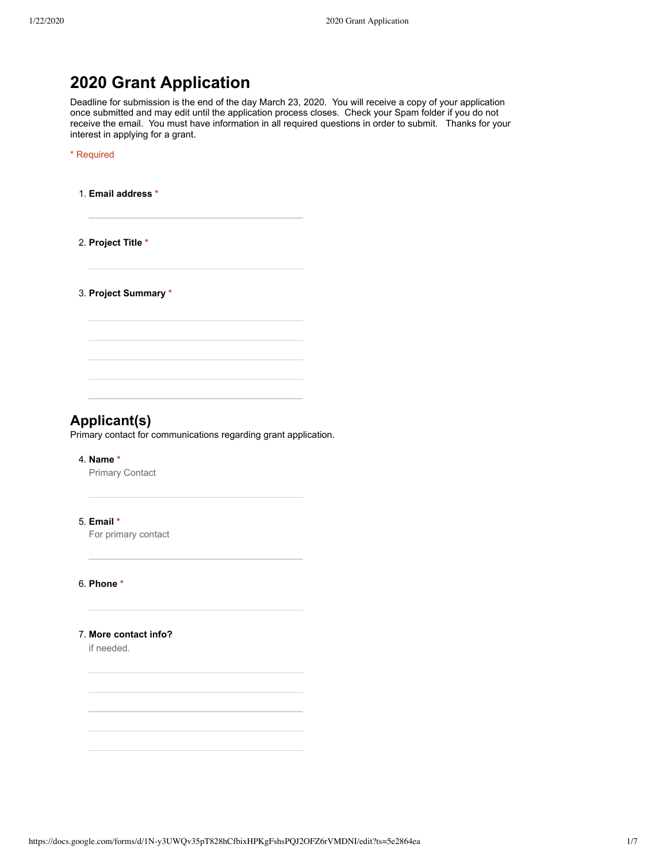# **2020 Grant Application**

Deadline for submission is the end of the day March 23, 2020. You will receive a copy of your application once submitted and may edit until the application process closes. Check your Spam folder if you do not receive the email. You must have information in all required questions in order to submit. Thanks for your interest in applying for a grant.

\* Required

1. **Email address \***

2. **Project Title \***

3. **Project Summary \***

## **Applicant(s)**

Primary contact for communications regarding grant application.

#### 4. **Name \***

Primary Contact

#### 5. **Email \***

For primary contact

6. **Phone \***

### 7. **More contact info?**

if needed.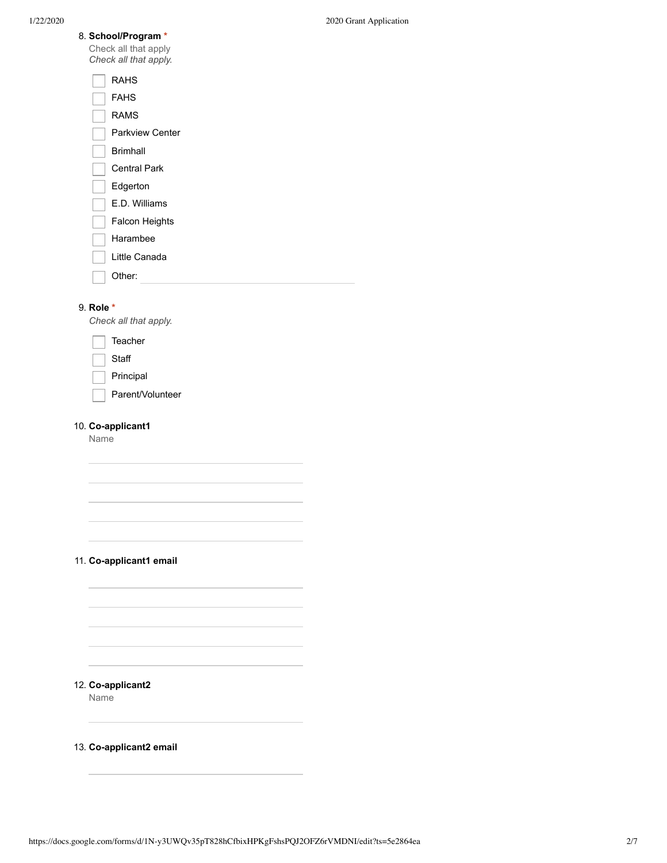| 8. School/Program *<br>Check all that apply<br>Check all that apply. |  |  |  |
|----------------------------------------------------------------------|--|--|--|
| RAHS                                                                 |  |  |  |
| FAHS                                                                 |  |  |  |
| RAMS                                                                 |  |  |  |
| Parkview Center                                                      |  |  |  |
| <b>Rrimhall</b>                                                      |  |  |  |

Central Park

Edgerton

E.D. Williams

Falcon Heights

Harambee

Little Canada

Other:

#### 9. **Role \***

*Check all that apply.*

Teacher

**Staff** 

Principal

Parent/Volunteer

## 10. **Co-applicant1**

Name

## 11. **Co-applicant1 email**

## 12. **Co-applicant2**

Name

13. **Co-applicant2 email**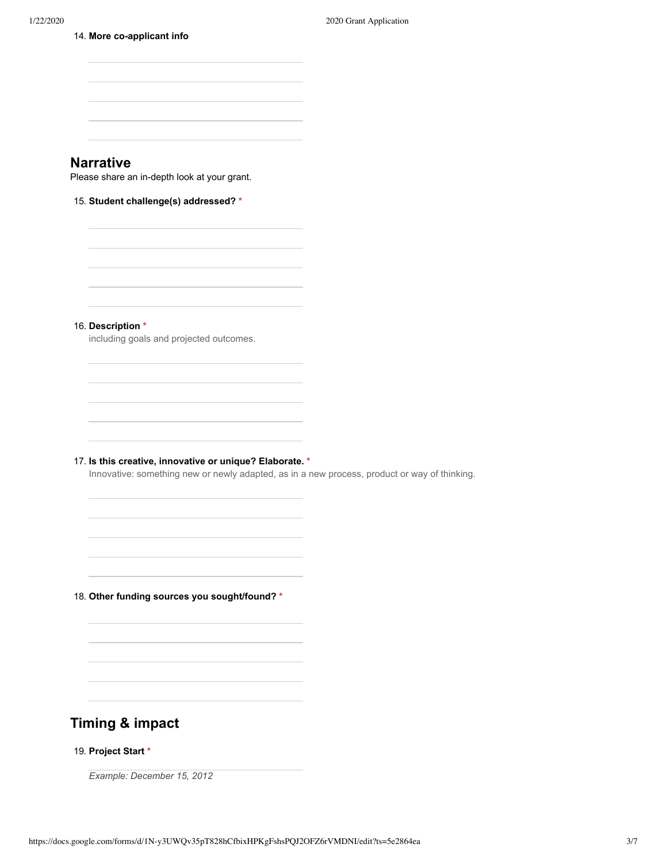14. **More co-applicant info**

| <b>Narrative</b>                                                                                                                                         |  |
|----------------------------------------------------------------------------------------------------------------------------------------------------------|--|
| Please share an in-depth look at your grant.                                                                                                             |  |
| 15. Student challenge(s) addressed? *                                                                                                                    |  |
|                                                                                                                                                          |  |
|                                                                                                                                                          |  |
| 16. Description *<br>including goals and projected outcomes.                                                                                             |  |
|                                                                                                                                                          |  |
|                                                                                                                                                          |  |
|                                                                                                                                                          |  |
| 17. Is this creative, innovative or unique? Elaborate. *<br>Innovative: something new or newly adapted, as in a new process, product or way of thinking. |  |
|                                                                                                                                                          |  |
|                                                                                                                                                          |  |
| 18. Other funding sources you sought/found? *                                                                                                            |  |
|                                                                                                                                                          |  |
|                                                                                                                                                          |  |
|                                                                                                                                                          |  |

# **Timing & impact**

## 19. **Project Start \***

*Example: December 15, 2012*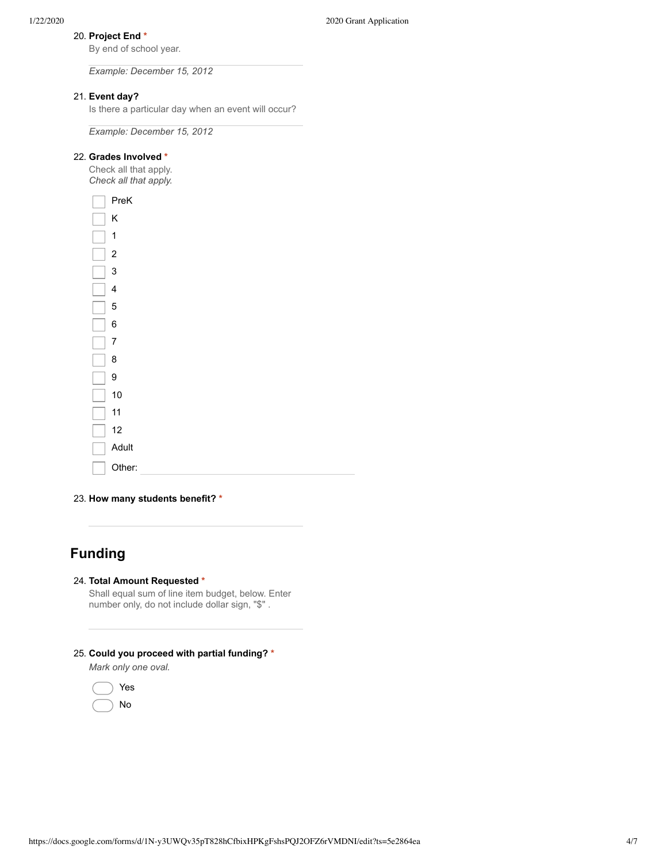## 20. **Project End \***

By end of school year.

*Example: December 15, 2012*

## 21. **Event day?**

Is there a particular day when an event will occur?

*Example: December 15, 2012*

#### 22. **Grades Involved \***

Check all that apply. *Check all that apply.*



23. **How many students benefit? \***

# **Funding**

### 24. **Total Amount Requested \***

Shall equal sum of line item budget, below. Enter number only, do not include dollar sign, "\$" .

## 25. **Could you proceed with partial funding? \***

*Mark only one oval.*

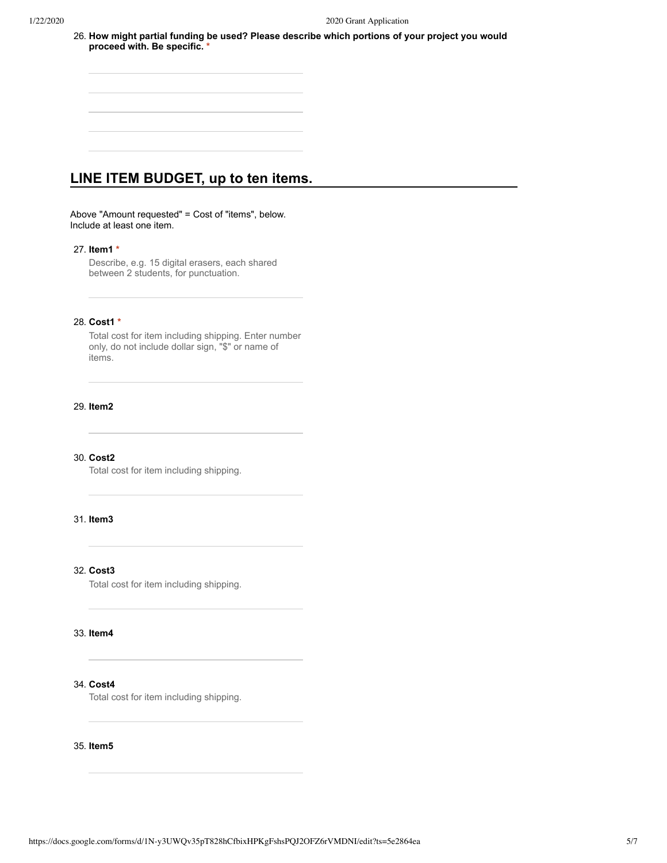26. **How might partial funding be used? Please describe which portions of your project you would proceed with. Be specific. \***

# **LINE ITEM BUDGET, up to ten items.**

Above "Amount requested" = Cost of "items", below. Include at least one item.

## 27. **Item1 \***

Describe, e.g. 15 digital erasers, each shared between 2 students, for punctuation.

#### 28. **Cost1 \***

Total cost for item including shipping. Enter number only, do not include dollar sign, "\$" or name of items.

#### 29. **Item2**

#### 30. **Cost2**

Total cost for item including shipping.

## 31. **Item3**

## 32. **Cost3**

Total cost for item including shipping.

#### 33. **Item4**

## 34. **Cost4**

Total cost for item including shipping.

#### 35. **Item5**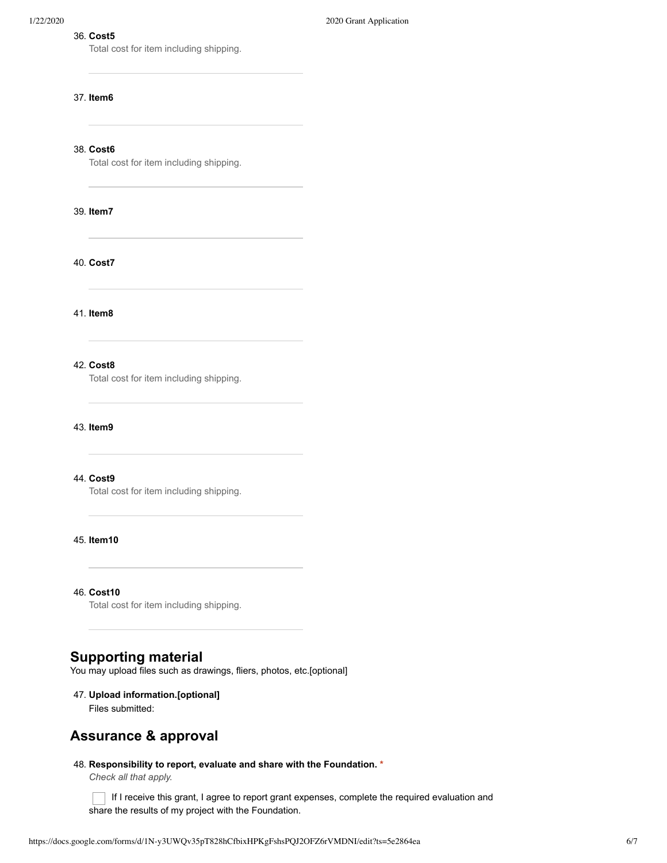#### 36. **Cost5**

Total cost for item including shipping.

#### 37. **Item6**

38. **Cost6**

Total cost for item including shipping.

#### 39. **Item7**

40. **Cost7**

41. **Item8**

## 42. **Cost8**

Total cost for item including shipping.

43. **Item9**

## 44. **Cost9**

Total cost for item including shipping.

## 45. **Item10**

46. **Cost10**

Total cost for item including shipping.

# **Supporting material**

You may upload files such as drawings, fliers, photos, etc.[optional]

## 47. **Upload information.[optional]**

Files submitted:

# **Assurance & approval**

#### 48. **Responsibility to report, evaluate and share with the Foundation. \***

*Check all that apply.*

 $\Box$  If I receive this grant, I agree to report grant expenses, complete the required evaluation and share the results of my project with the Foundation.